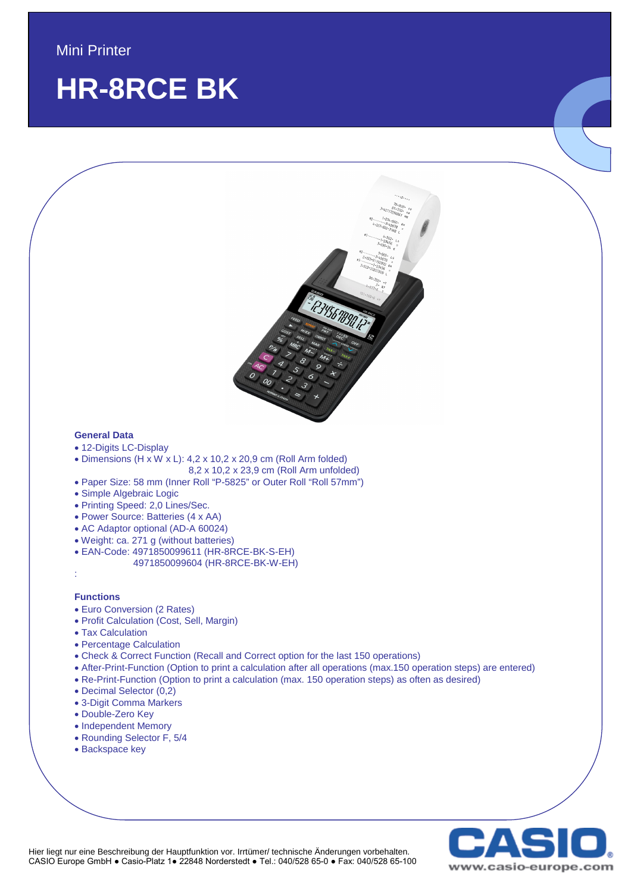## **HR-8RCE BK**



#### **Functions**

:

- Euro Conversion (2 Rates)
- Profit Calculation (Cost, Sell, Margin)
- Tax Calculation
- Percentage Calculation
- Check & Correct Function (Recall and Correct option for the last 150 operations)
- After-Print-Function (Option to print a calculation after all operations (max.150 operation steps) are entered)
- Re-Print-Function (Option to print a calculation (max. 150 operation steps) as often as desired)
- Decimal Selector (0,2)
- 3-Digit Comma Markers
- Double-Zero Key
- Independent Memory
- Rounding Selector F, 5/4
- Backspace key